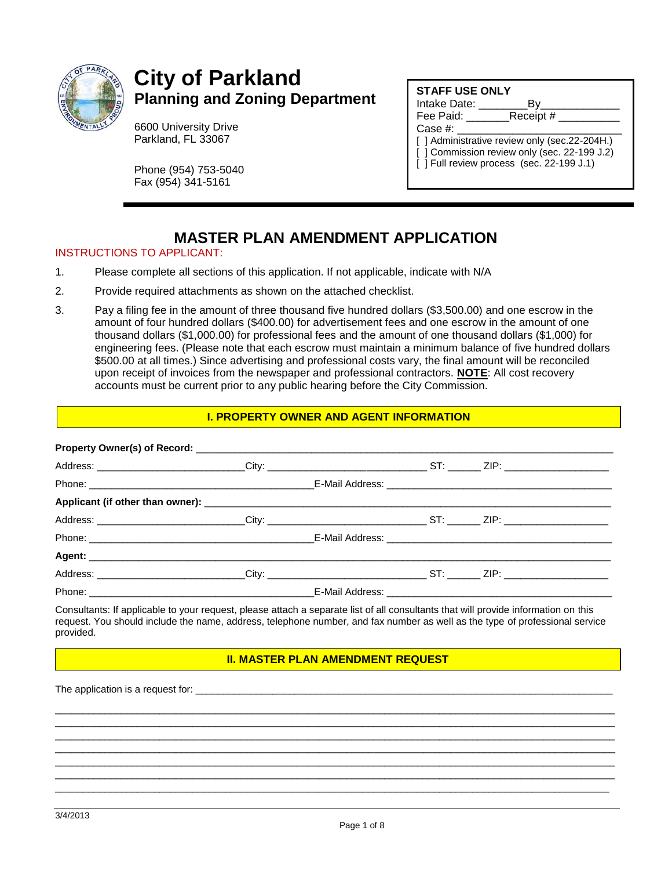

# **City of Parkland Planning and Zoning Department**

6600 University Drive Parkland, FL 33067

Phone (954) 753-5040 Fax (954) 341-5161

## **STAFF USE ONLY**

Intake Date: \_\_\_\_\_\_\_\_By\_\_\_\_\_\_\_\_\_\_\_\_\_

Fee Paid: \_\_\_\_\_\_\_\_\_\_Receipt #

Case #:

[ ] Administrative review only (sec.22-204H.)

- [ ] Commission review only (sec. 22-199 J.2)
- $\overline{1}$  T Full review process (sec. 22-199 J.1)

# **MASTER PLAN AMENDMENT APPLICATION**

#### INSTRUCTIONS TO APPLICANT:

- 1. Please complete all sections of this application. If not applicable, indicate with N/A
- 2. Provide required attachments as shown on the attached checklist.
- 3. Pay a filing fee in the amount of three thousand five hundred dollars (\$3,500.00) and one escrow in the amount of four hundred dollars (\$400.00) for advertisement fees and one escrow in the amount of one thousand dollars (\$1,000.00) for professional fees and the amount of one thousand dollars (\$1,000) for engineering fees. (Please note that each escrow must maintain a minimum balance of five hundred dollars \$500.00 at all times.) Since advertising and professional costs vary, the final amount will be reconciled upon receipt of invoices from the newspaper and professional contractors. **NOTE**: All cost recovery accounts must be current prior to any public hearing before the City Commission.

#### **I. PROPERTY OWNER AND AGENT INFORMATION**

| Address: __________________________City: ______________________________ST: _______ ZIP: ______________________ |  |  |
|----------------------------------------------------------------------------------------------------------------|--|--|
|                                                                                                                |  |  |
|                                                                                                                |  |  |
|                                                                                                                |  |  |
|                                                                                                                |  |  |

Consultants: If applicable to your request, please attach a separate list of all consultants that will provide information on this request. You should include the name, address, telephone number, and fax number as well as the type of professional service provided.

#### **II. MASTER PLAN AMENDMENT REQUEST**

\_\_\_\_\_\_\_\_\_\_\_\_\_\_\_\_\_\_\_\_\_\_\_\_\_\_\_\_\_\_\_\_\_\_\_\_\_\_\_\_\_\_\_\_\_\_\_\_\_\_\_\_\_\_\_\_\_\_\_\_\_\_\_\_\_\_\_\_\_\_\_\_\_\_\_\_\_\_\_\_\_\_\_\_\_\_\_\_\_\_\_\_\_\_\_\_\_\_\_\_\_\_ \_\_\_\_\_\_\_\_\_\_\_\_\_\_\_\_\_\_\_\_\_\_\_\_\_\_\_\_\_\_\_\_\_\_\_\_\_\_\_\_\_\_\_\_\_\_\_\_\_\_\_\_\_\_\_\_\_\_\_\_\_\_\_\_\_\_\_\_\_\_\_\_\_\_\_\_\_\_\_\_\_\_\_\_\_\_\_\_\_\_\_\_\_\_\_\_\_\_\_\_\_\_ \_\_\_\_\_\_\_\_\_\_\_\_\_\_\_\_\_\_\_\_\_\_\_\_\_\_\_\_\_\_\_\_\_\_\_\_\_\_\_\_\_\_\_\_\_\_\_\_\_\_\_\_\_\_\_\_\_\_\_\_\_\_\_\_\_\_\_\_\_\_\_\_\_\_\_\_\_\_\_\_\_\_\_\_\_\_\_\_\_\_\_\_\_\_\_\_\_\_\_\_\_\_ \_\_\_\_\_\_\_\_\_\_\_\_\_\_\_\_\_\_\_\_\_\_\_\_\_\_\_\_\_\_\_\_\_\_\_\_\_\_\_\_\_\_\_\_\_\_\_\_\_\_\_\_\_\_\_\_\_\_\_\_\_\_\_\_\_\_\_\_\_\_\_\_\_\_\_\_\_\_\_\_\_\_\_\_\_\_\_\_\_\_\_\_\_\_\_\_\_\_\_\_\_\_ \_\_\_\_\_\_\_\_\_\_\_\_\_\_\_\_\_\_\_\_\_\_\_\_\_\_\_\_\_\_\_\_\_\_\_\_\_\_\_\_\_\_\_\_\_\_\_\_\_\_\_\_\_\_\_\_\_\_\_\_\_\_\_\_\_\_\_\_\_\_\_\_\_\_\_\_\_\_\_\_\_\_\_\_\_\_\_\_\_\_\_\_\_\_\_\_\_\_\_\_\_\_ \_\_\_\_\_\_\_\_\_\_\_\_\_\_\_\_\_\_\_\_\_\_\_\_\_\_\_\_\_\_\_\_\_\_\_\_\_\_\_\_\_\_\_\_\_\_\_\_\_\_\_\_\_\_\_\_\_\_\_\_\_\_\_\_\_\_\_\_\_\_\_\_\_\_\_\_\_\_\_\_\_\_\_\_\_\_\_\_\_\_\_\_\_\_\_\_\_\_\_\_\_\_ \_\_\_\_\_\_\_\_\_\_\_\_\_\_\_\_\_\_\_\_\_\_\_\_\_\_\_\_\_\_\_\_\_\_\_\_\_\_\_\_\_\_\_\_\_\_\_\_\_\_\_\_\_\_\_\_\_\_\_\_\_\_\_\_\_\_\_\_\_\_\_\_\_\_\_\_\_\_\_\_\_\_\_\_\_\_\_\_\_\_\_\_\_\_\_\_\_\_\_\_\_

The application is a request for: \_\_\_\_\_\_\_\_\_\_\_\_\_\_\_\_\_\_\_\_\_\_\_\_\_\_\_\_\_\_\_\_\_\_\_\_\_\_\_\_\_\_\_\_\_\_\_\_\_\_\_\_\_\_\_\_\_\_\_\_\_\_\_\_\_\_\_\_\_\_\_\_\_\_\_\_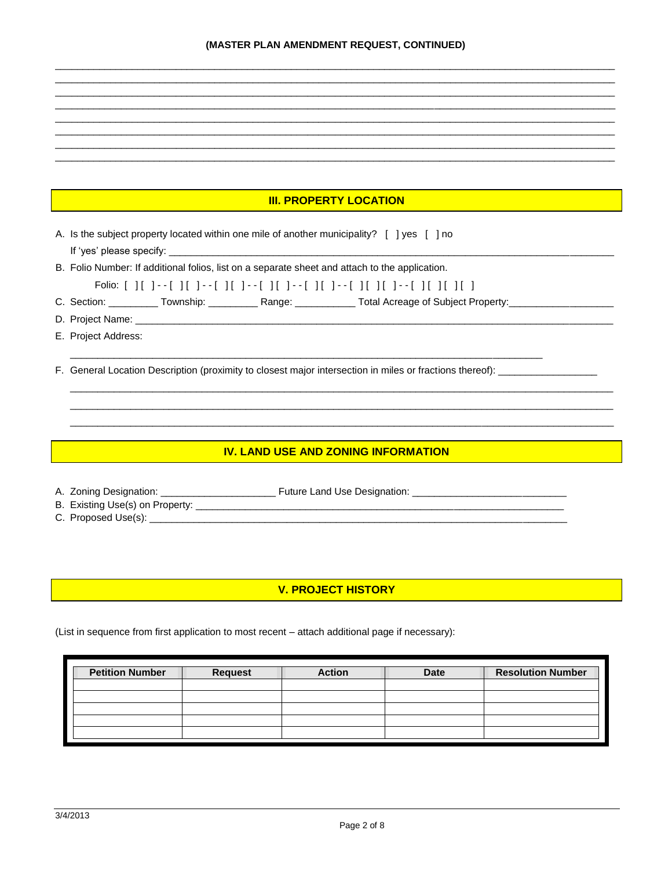### **III. PROPERTY LOCATION**

A. Is the subject property located within one mile of another municipality? [ ] yes [ ] no If 'yes' please specify: \_

B. Folio Number: If additional folios, list on a separate sheet and attach to the application.

- Folio: [ ][ ]--[ ][ ]--[ ][ ]--[ ][ ]--[ ][ ]--[ ][ ]--[ ][ ][ ]--[ ][ ][ ][ ][ ]
- C. Section: \_\_\_\_\_\_\_\_\_\_\_ Township: \_\_\_\_\_\_\_\_\_\_\_\_ Range: \_\_\_\_\_\_\_\_\_\_\_\_\_ Total Acreage of Subject Property: \_\_\_\_\_
- D. Project Name:
- E. Project Address:

F. General Location Description (proximity to closest major intersection in miles or fractions thereof): \_\_\_\_\_\_\_\_\_\_\_\_\_\_

#### **THE TIV. LAND USE AND ZONING INFORMATION**

- B. Existing Use(s) on Property: \_\_\_\_\_\_\_\_\_\_\_\_\_
- C. Proposed Use(s): \_\_\_\_\_\_\_\_\_

## **V. PROJECT HISTORY**

(List in sequence from first application to most recent - attach additional page if necessary):

| <b>Request</b> | <b>Action</b> | <b>Date</b> | <b>Resolution Number</b> |
|----------------|---------------|-------------|--------------------------|
|                |               |             |                          |
|                |               |             |                          |
|                |               |             |                          |
|                |               |             |                          |
|                |               |             |                          |
|                |               |             |                          |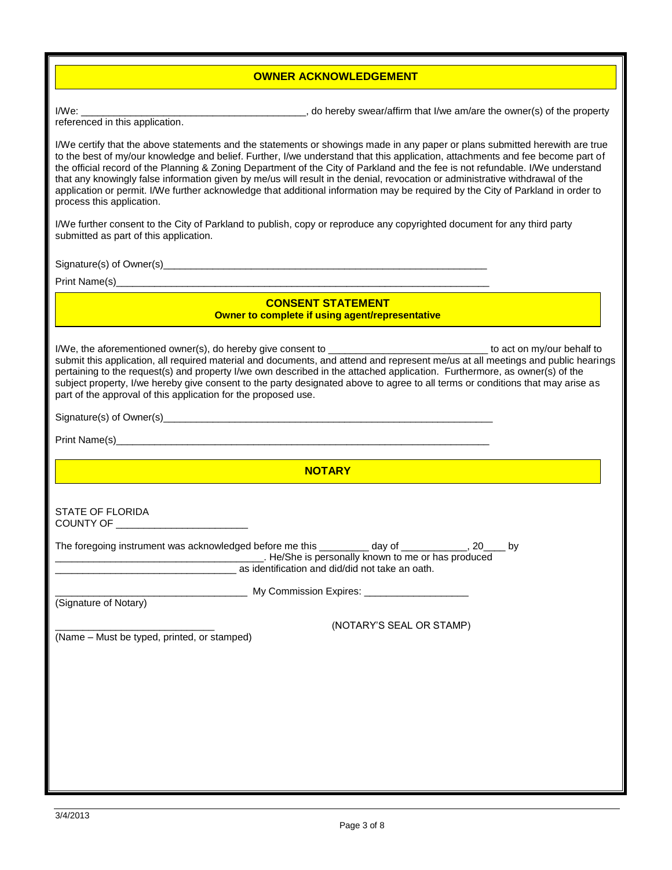### **OWNER ACKNOWLEDGEMENT**

I/We: \_\_\_\_\_\_\_\_\_\_\_\_\_\_\_\_\_\_\_\_\_\_\_\_\_\_\_\_\_\_\_\_\_\_\_\_\_\_\_\_\_, do hereby swear/affirm that I/we am/are the owner(s) of the property

referenced in this application.

I/We certify that the above statements and the statements or showings made in any paper or plans submitted herewith are true to the best of my/our knowledge and belief. Further, I/we understand that this application, attachments and fee become part of the official record of the Planning & Zoning Department of the City of Parkland and the fee is not refundable. I/We understand that any knowingly false information given by me/us will result in the denial, revocation or administrative withdrawal of the application or permit. I/We further acknowledge that additional information may be required by the City of Parkland in order to process this application.

I/We further consent to the City of Parkland to publish, copy or reproduce any copyrighted document for any third party submitted as part of this application.

Signature(s) of Owner(s)\_\_\_\_\_\_\_\_\_\_\_\_\_\_\_\_\_\_\_\_\_\_\_\_\_\_\_\_\_\_\_\_\_\_\_\_\_\_\_\_\_\_\_\_\_\_\_\_\_\_\_\_\_\_\_\_\_\_\_

Print Name(s)

## **CONSENT STATEMENT**

**COWNER THE COMPLET COMPLETE IF USING A GETTER COMPLETE COMPLETE COMPLETE COMPLETE COMPLETE COMPLETE COMPLETE** 

I/We, the aforementioned owner(s), do hereby give consent to \_\_\_\_\_\_\_\_\_\_\_\_\_\_\_\_\_\_\_\_\_\_\_\_\_\_\_\_\_ to act on my/our behalf to submit this application, all required material and documents, and attend and represent me/us at all meetings and public hearings pertaining to the request(s) and property I/we own described in the attached application. Furthermore, as owner(s) of the subject property, I/we hereby give consent to the party designated above to agree to all terms or conditions that may arise as part of the approval of this application for the proposed use.

Signature(s) of Owner(s)\_\_\_\_\_\_\_\_\_\_\_\_\_\_\_\_\_\_\_\_\_\_\_\_\_\_\_\_\_\_\_\_\_\_\_\_\_\_\_\_\_\_\_\_\_\_\_\_\_\_\_\_\_\_\_\_\_\_\_\_

Print Name(s)

**NOTARY** 

STATE OF FLORIDA COUNTY OF \_\_\_\_\_\_\_\_\_\_\_\_\_\_\_\_\_\_\_\_\_\_\_\_

| The foregoing instrument was acknowledged before me this | dav of                                             | b٧ |
|----------------------------------------------------------|----------------------------------------------------|----|
|                                                          | . He/She is personally known to me or has produced |    |
| as identification and did/did not take an oath.          |                                                    |    |
| My Commission Expires:                                   |                                                    |    |
| (0.000, 0.000, 0.000, 0.000)                             |                                                    |    |

(Signature of Notary)

(Name – Must be typed, printed, or stamped)

\_\_\_\_\_\_\_\_\_\_\_\_\_\_\_\_\_\_\_\_\_\_\_\_\_\_\_\_\_ (NOTARY'S SEAL OR STAMP)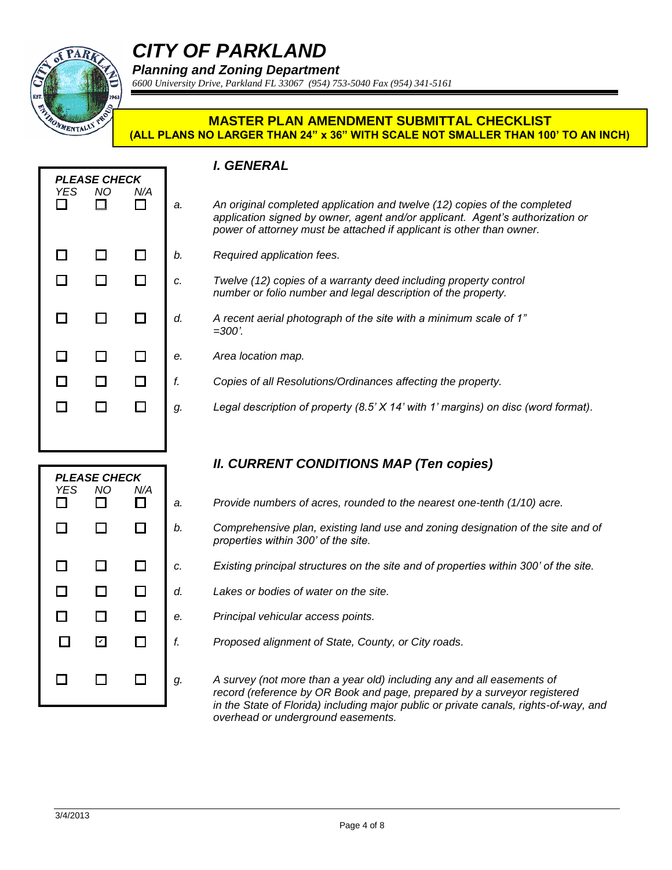

# *CITY OF PARKLAND*

*Planning and Zoning Department*

*6600 University Drive, Parkland FL 33067 (954) 753-5040 Fax (954) 341-5161*

## **MASTER PLAN AMENDMENT SUBMITTAL CHECKLIST (ALL PLANS NO LARGER THAN 24" x 36" WITH SCALE NOT SMALLER THAN 100' TO AN INCH)**

| <b>YES</b><br>П | <b>PLEASE CHECK</b><br><b>NO</b><br>П | N/A<br>П | a. |
|-----------------|---------------------------------------|----------|----|
| $\Box$          | □                                     | $\Box$   | b. |
| □               | $\Box$                                | $\Box$   | c. |
| 口               | □                                     | ◻        | d. |
| $\Box$          | □                                     | $\Box$   | е. |
| $\Box$          | $\Box$                                | $\Box$   | f. |
| ᄗ               | П                                     | □        | g. |
|                 |                                       |          |    |

## *I. GENERAL*

- An original completed application and twelve (12) copies of the completed *application signed by owner, agent and/or applicant. Agent's authorization or power of attorney must be attached if applicant is other than owner.*
- *b. Required application fees.*
- *c. Twelve (12) copies of a warranty deed including property control number or folio number and legal description of the property.*
- *d. A recent aerial photograph of the site with a minimum scale of 1" =300'.*
- *e. Area location map.*
	- *f. Copies of all Resolutions/Ordinances affecting the property.*
	- *g. Legal description of property (8.5' X 14' with 1' margins) on disc (word format).*

# *II. CURRENT CONDITIONS MAP (Ten copies)*

- *a. Provide numbers of acres, rounded to the nearest one-tenth (1/10) acre.*
- *b. Comprehensive plan, existing land use and zoning designation of the site and of properties within 300' of the site.*
- *c. Existing principal structures on the site and of properties within 300' of the site.*
- *d. Lakes or bodies of water on the site.*
- *Principal vehicular access points.*
- *f. Proposed alignment of State, County, or City roads.*

*g. A survey (not more than a year old) including any and all easements of record (reference by OR Book and page, prepared by a surveyor registered in the State of Florida) including major public or private canals, rights-of-way, and overhead or underground easements.*

| <b>YES</b><br>$\Box$ | ΝO<br>П                 | N/A<br>$\Box$ | a. |
|----------------------|-------------------------|---------------|----|
| $\Box$               | □                       | □             | b. |
| $\Box$               | $\Box$                  | $\Box$        | c. |
| $\Box$               | $\Box$                  | □             | d. |
| $\Box$               | $\Box$                  | $\Box$        | е. |
| □                    | $\overline{\mathbf{r}}$ | $\Box$        | f. |
| □                    | П                       | П             | g. |

*PLEASE CHECK*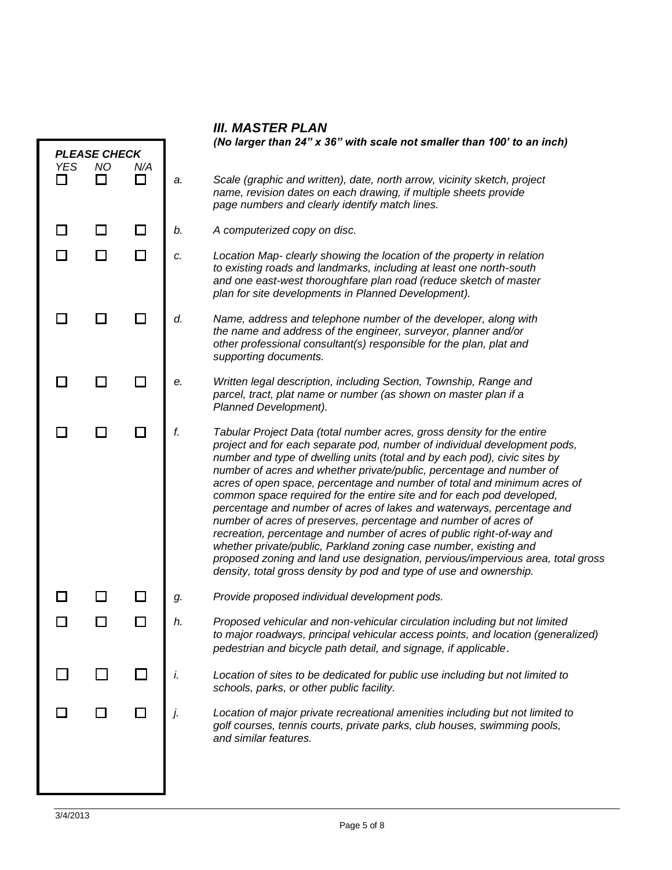| <b>III. MASTER PLAN</b> |  |
|-------------------------|--|
|                         |  |

|            |                                  |        | (No larger than 24" x 36" with scale not smaller than 100' to an inch) |                                                                                                                                                                                                                                                                                                                                                                                                                                                                                                                                                                                                                                                                                                                                                                                                                                                                                                                  |  |
|------------|----------------------------------|--------|------------------------------------------------------------------------|------------------------------------------------------------------------------------------------------------------------------------------------------------------------------------------------------------------------------------------------------------------------------------------------------------------------------------------------------------------------------------------------------------------------------------------------------------------------------------------------------------------------------------------------------------------------------------------------------------------------------------------------------------------------------------------------------------------------------------------------------------------------------------------------------------------------------------------------------------------------------------------------------------------|--|
| <b>YES</b> | <b>PLEASE CHECK</b><br><b>NO</b> | N/A    |                                                                        |                                                                                                                                                                                                                                                                                                                                                                                                                                                                                                                                                                                                                                                                                                                                                                                                                                                                                                                  |  |
| l 1        |                                  | □      | a.                                                                     | Scale (graphic and written), date, north arrow, vicinity sketch, project<br>name, revision dates on each drawing, if multiple sheets provide<br>page numbers and clearly identify match lines.                                                                                                                                                                                                                                                                                                                                                                                                                                                                                                                                                                                                                                                                                                                   |  |
|            | $\Box$                           | $\Box$ | b.                                                                     | A computerized copy on disc.                                                                                                                                                                                                                                                                                                                                                                                                                                                                                                                                                                                                                                                                                                                                                                                                                                                                                     |  |
|            | □                                | □      | c.                                                                     | Location Map- clearly showing the location of the property in relation<br>to existing roads and landmarks, including at least one north-south<br>and one east-west thoroughfare plan road (reduce sketch of master<br>plan for site developments in Planned Development).                                                                                                                                                                                                                                                                                                                                                                                                                                                                                                                                                                                                                                        |  |
|            |                                  |        | d.                                                                     | Name, address and telephone number of the developer, along with<br>the name and address of the engineer, surveyor, planner and/or<br>other professional consultant(s) responsible for the plan, plat and<br>supporting documents.                                                                                                                                                                                                                                                                                                                                                                                                                                                                                                                                                                                                                                                                                |  |
|            | $\blacksquare$                   | П      | е.                                                                     | Written legal description, including Section, Township, Range and<br>parcel, tract, plat name or number (as shown on master plan if a<br>Planned Development).                                                                                                                                                                                                                                                                                                                                                                                                                                                                                                                                                                                                                                                                                                                                                   |  |
|            |                                  |        | f.                                                                     | Tabular Project Data (total number acres, gross density for the entire<br>project and for each separate pod, number of individual development pods,<br>number and type of dwelling units (total and by each pod), civic sites by<br>number of acres and whether private/public, percentage and number of<br>acres of open space, percentage and number of total and minimum acres of<br>common space required for the entire site and for each pod developed,<br>percentage and number of acres of lakes and waterways, percentage and<br>number of acres of preserves, percentage and number of acres of<br>recreation, percentage and number of acres of public right-of-way and<br>whether private/public, Parkland zoning case number, existing and<br>proposed zoning and land use designation, pervious/impervious area, total gross<br>density, total gross density by pod and type of use and ownership. |  |
|            |                                  |        | g.                                                                     | Provide proposed individual development pods.                                                                                                                                                                                                                                                                                                                                                                                                                                                                                                                                                                                                                                                                                                                                                                                                                                                                    |  |
|            |                                  |        | h.                                                                     | Proposed vehicular and non-vehicular circulation including but not limited<br>to major roadways, principal vehicular access points, and location (generalized)<br>pedestrian and bicycle path detail, and signage, if applicable.                                                                                                                                                                                                                                                                                                                                                                                                                                                                                                                                                                                                                                                                                |  |
|            |                                  |        | i.                                                                     | Location of sites to be dedicated for public use including but not limited to<br>schools, parks, or other public facility.                                                                                                                                                                                                                                                                                                                                                                                                                                                                                                                                                                                                                                                                                                                                                                                       |  |
|            |                                  |        | j.                                                                     | Location of major private recreational amenities including but not limited to<br>golf courses, tennis courts, private parks, club houses, swimming pools,<br>and similar features.                                                                                                                                                                                                                                                                                                                                                                                                                                                                                                                                                                                                                                                                                                                               |  |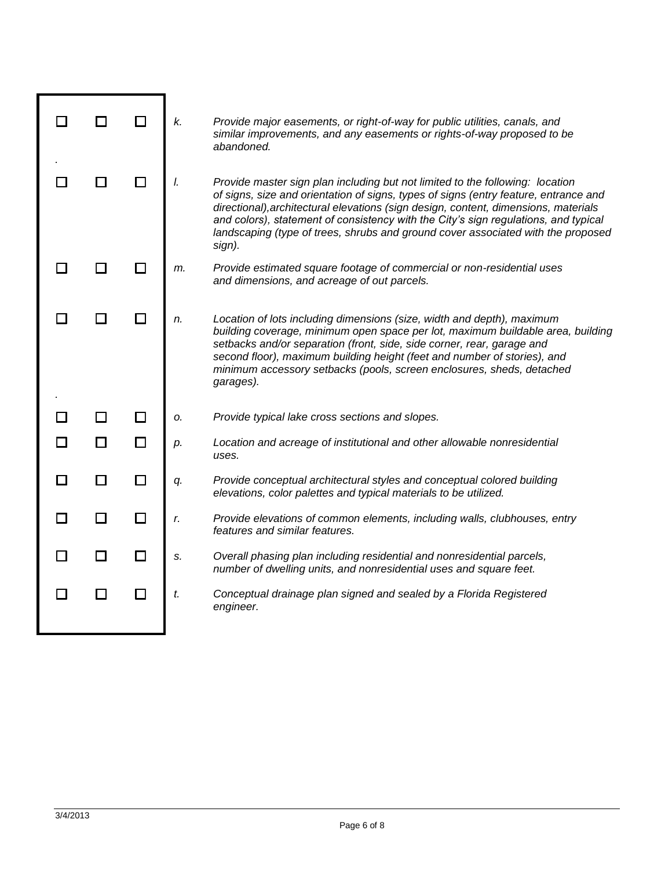|               |        | ΙI     | k. | Provide major easements, or right-of-way for public utilities, canals, and<br>similar improvements, and any easements or rights-of-way proposed to be<br>abandoned.                                                                                                                                                                                                                                                                               |
|---------------|--------|--------|----|---------------------------------------------------------------------------------------------------------------------------------------------------------------------------------------------------------------------------------------------------------------------------------------------------------------------------------------------------------------------------------------------------------------------------------------------------|
|               |        |        | I. | Provide master sign plan including but not limited to the following: location<br>of signs, size and orientation of signs, types of signs (entry feature, entrance and<br>directional), architectural elevations (sign design, content, dimensions, materials<br>and colors), statement of consistency with the City's sign regulations, and typical<br>landscaping (type of trees, shrubs and ground cover associated with the proposed<br>sign). |
|               |        |        | m. | Provide estimated square footage of commercial or non-residential uses<br>and dimensions, and acreage of out parcels.                                                                                                                                                                                                                                                                                                                             |
|               |        |        | n. | Location of lots including dimensions (size, width and depth), maximum<br>building coverage, minimum open space per lot, maximum buildable area, building<br>setbacks and/or separation (front, side, side corner, rear, garage and<br>second floor), maximum building height (feet and number of stories), and<br>minimum accessory setbacks (pools, screen enclosures, sheds, detached<br>garages).                                             |
|               |        | П      | о. | Provide typical lake cross sections and slopes.                                                                                                                                                                                                                                                                                                                                                                                                   |
| $\mathcal{L}$ | □      | $\Box$ | p. | Location and acreage of institutional and other allowable nonresidential<br>uses.                                                                                                                                                                                                                                                                                                                                                                 |
| П             | $\Box$ | □      | q. | Provide conceptual architectural styles and conceptual colored building<br>elevations, color palettes and typical materials to be utilized.                                                                                                                                                                                                                                                                                                       |
|               | H      | П      | r. | Provide elevations of common elements, including walls, clubhouses, entry<br>features and similar features.                                                                                                                                                                                                                                                                                                                                       |
| П             | $\Box$ | П      | S. | Overall phasing plan including residential and nonresidential parcels,<br>number of dwelling units, and nonresidential uses and square feet.                                                                                                                                                                                                                                                                                                      |
| П             | П      | □      | t. | Conceptual drainage plan signed and sealed by a Florida Registered<br>engineer.                                                                                                                                                                                                                                                                                                                                                                   |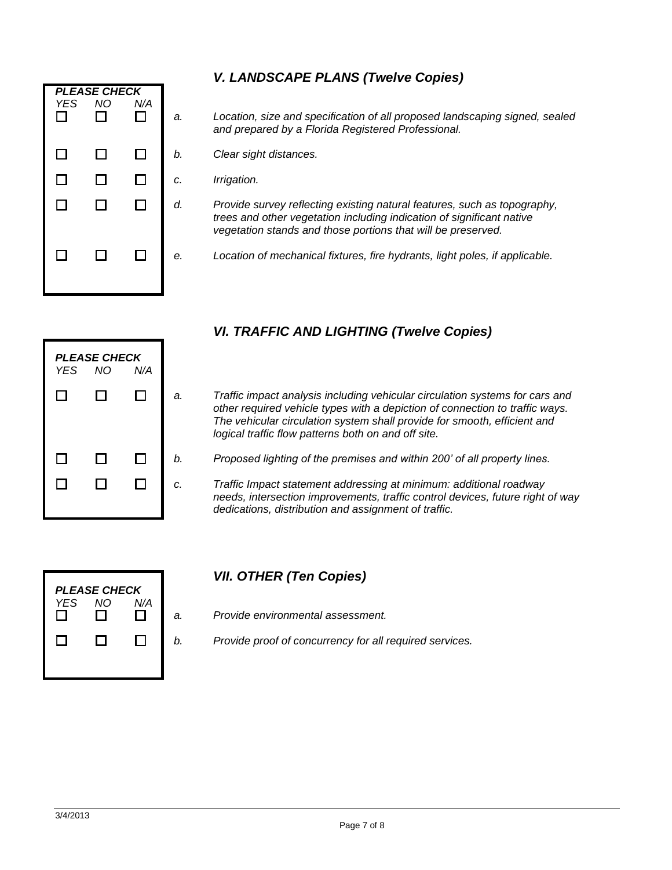|                      | <b>PLEASE CHECK</b> |          |   |
|----------------------|---------------------|----------|---|
| <b>YES</b><br>$\Box$ | <b>NO</b><br>$\Box$ | N/A<br>П | a |
| $\Box$               | $\Box$              | $\Box$   | b |
| $\Box$               | $\Box$              | □        | c |
| $\Box$               | $\Box$              | $\Box$   | a |
| $\Box$               | $\Box$              | $\Box$   | e |

# *V. LANDSCAPE PLANS (Twelve Copies)*

- *a. Location, size and specification of all proposed landscaping signed, sealed and prepared by a Florida Registered Professional.*
- *b. Clear sight distances.*
- *c. Irrigation.*
- *d. Provide survey reflecting existing natural features, such as topography, trees and other vegetation including indication of significant native vegetation stands and those portions that will be preserved.*
- *e. Location of mechanical fixtures, fire hydrants, light poles, if applicable.*

| YES.   | <b>PLEASE CHECK</b><br><b>NO</b> | N/A    |   |
|--------|----------------------------------|--------|---|
| $\Box$ | □                                | $\Box$ | а |
|        |                                  |        |   |
| $\Box$ | $\Box$                           | $\Box$ | b |
| П      | □                                | $\Box$ | C |
|        |                                  |        |   |

# *VI. TRAFFIC AND LIGHTING (Twelve Copies)*

- *a. Traffic impact analysis including vehicular circulation systems for cars and other required vehicle types with a depiction of connection to traffic ways. The vehicular circulation system shall provide for smooth, efficient and logical traffic flow patterns both on and off site.*
- *b. Proposed lighting of the premises and within 200' of all property lines.*
- *c. Traffic Impact statement addressing at minimum: additional roadway needs, intersection improvements, traffic control devices, future right of way dedications, distribution and assignment of traffic.*



# *VII. OTHER (Ten Copies)*

- *a. Provide environmental assessment.*
- *b. Provide proof of concurrency for all required services.*